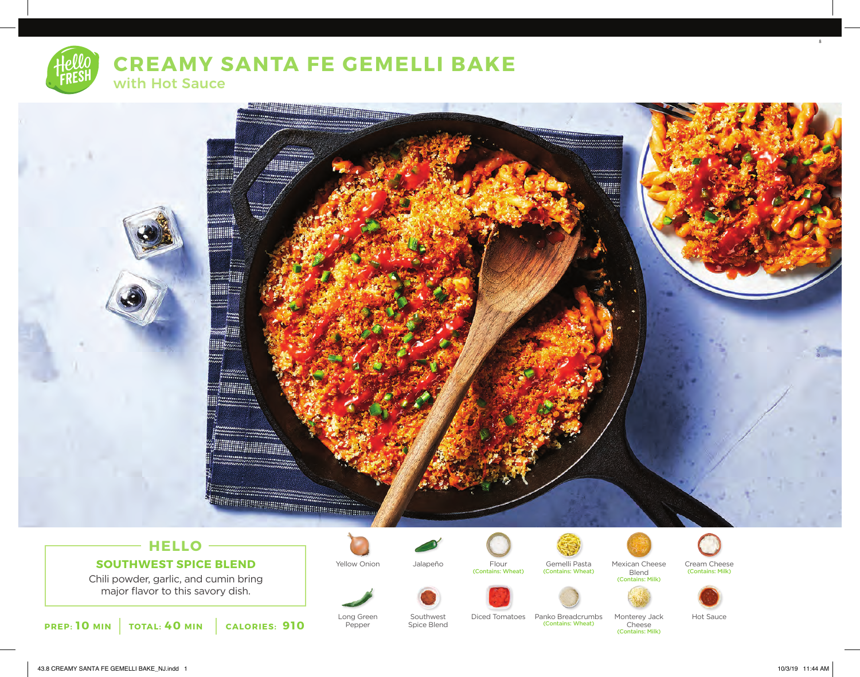**CREAMY SANTA FE GEMELLI BAKE** with Hot Sauce



# **HELLO SOUTHWEST SPICE BLEND**

Chili powder, garlic, and cumin bring major flavor to this savory dish.



Long Green Pepper

Southwest Spice Blend



Flour (Contains: Wheat)



Yellow Onion Jalapeño Flour Gemelli Pasta (Contains: Wheat)

(Contains: Wheat)



Mexican Cheese **Blend** 

Cheese (Contains: Milk)

Cream Cheese (Contains: Milk) (Contains: Milk)





8